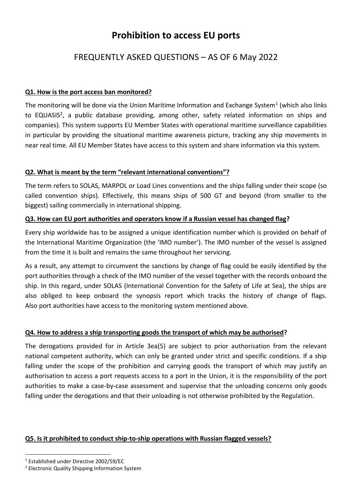# **Prohibition to access EU ports**

# FREQUENTLY ASKED QUESTIONS – AS OF 6 May 2022

### **Q1. How is the port access ban monitored?**

The monitoring will be done via the Union Maritime Information and Exchange System<sup>1</sup> (which also links to EQUASIS<sup>2</sup>, a public database providing, among other, safety related information on ships and companies). This system supports EU Member States with operational maritime surveillance capabilities in particular by providing the situational maritime awareness picture, tracking any ship movements in near real time. All EU Member States have access to this system and share information via this system.

#### **Q2. What is meant by the term "relevant international conventions"?**

The term refers to SOLAS, MARPOL or Load Lines conventions and the ships falling under their scope (so called convention ships). Effectively, this means ships of 500 GT and beyond (from smaller to the biggest) sailing commercially in international shipping.

### **Q3. How can EU port authorities and operators know if a Russian vessel has changed flag?**

Every ship worldwide has to be assigned a unique identification number which is provided on behalf of the International Maritime Organization (the 'IMO number'). The IMO number of the vessel is assigned from the time it is built and remains the same throughout her servicing.

As a result, any attempt to circumvent the sanctions by change of flag could be easily identified by the port authorities through a check of the IMO number of the vessel together with the records onboard the ship. In this regard, under SOLAS (International Convention for the Safety of Life at Sea), the ships are also obliged to keep onboard the synopsis report which tracks the history of change of flags. Also port authorities have access to the monitoring system mentioned above.

# **Q4. How to address a ship transporting goods the transport of which may be authorised?**

The derogations provided for in Article 3ea(5) are subject to prior authorisation from the relevant national competent authority, which can only be granted under strict and specific conditions. If a ship falling under the scope of the prohibition and carrying goods the transport of which may justify an authorisation to access a port requests access to a port in the Union, it is the responsibility of the port authorities to make a case-by-case assessment and supervise that the unloading concerns only goods falling under the derogations and that their unloading is not otherwise prohibited by the Regulation.

# **Q5. Is it prohibited to conduct ship-to-ship operations with Russian flagged vessels?**

 $\overline{a}$ 

<sup>1</sup> Established under Directive 2002/59/EC

<sup>2</sup> Electronic Quality Shipping Information System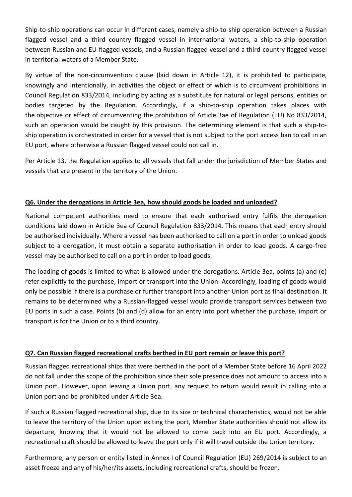Ship-to-ship operations can occur in different cases, namely a ship-to-ship operation between a Russian flagged vessel and a third country flagged vessel in international waters, a ship-to-ship operation between Russian and EU-flagged vessels, and a Russian flagged vessel and a third-country flagged vessel in territorial waters of a Member State.

By virtue of the non-circumvention clause (laid down in Article 12), it is prohibited to participate, knowingly and intentionally, in activities the object or effect of which is to circumvent prohibitions in Council Regulation 833/2014, including by acting as a substitute for natural or legal persons, entities or bodies targeted by the Regulation. Accordingly, if a ship-to-ship operation takes places with the objective or effect of circumventing the prohibition of Article 3ae of Regulation (EU) No 833/2014, such an operation would be caught by this provision. The determining element is that such a ship-toship operation is orchestrated in order for a vessel that is not subject to the port access ban to call in an EU port, where otherwise a Russian flagged vessel could not call in.

Per Article 13, the Regulation applies to all vessels that fall under the jurisdiction of Member States and vessels that are present in the territory of the Union.

### **Q6. Under the derogations in Article 3ea, how should goods be loaded and unloaded?**

National competent authorities need to ensure that each authorised entry fulfils the derogation conditions laid down in Article 3ea of Council Regulation 833/2014. This means that each entry should be authorised individually. Where a vessel has been authorised to call on a port in order to unload goods subject to a derogation, it must obtain a separate authorisation in order to load goods. A cargo-free vessel may be authorised to call on a port in order to load goods.

The loading of goods is limited to what is allowed under the derogations. Article 3ea, points (a) and (e) refer explicitly to the purchase, import or transport into the Union. Accordingly, loading of goods would only be possible if there is a purchase or further transport into another Union port as final destination. It remains to be determined why a Russian-flagged vessel would provide transport services between two EU ports in such a case. Points (b) and (d) allow for an entry into port whether the purchase, import or transport is for the Union or to a third country.

#### **Q7. Can Russian flagged recreational crafts berthed in EU port remain or leave this port?**

Russian flagged recreational ships that were berthed in the port of a Member State before 16 April 2022 do not fall under the scope of the prohibition since their sole presence does not amount to access into a Union port. However, upon leaving a Union port, any request to return would result in calling into a Union port and be prohibited under Article 3ea.

If such a Russian flagged recreational ship, due to its size or technical characteristics, would not be able to leave the territory of the Union upon exiting the port, Member State authorities should not allow its departure, knowing that it would not be allowed to come back into an EU port. Accordingly, a recreational craft should be allowed to leave the port only if it will travel outside the Union territory.

Furthermore, any person or entity listed in Annex I of Council Regulation (EU) 269/2014 is subject to an asset freeze and any of his/her/its assets, including recreational crafts, should be frozen.